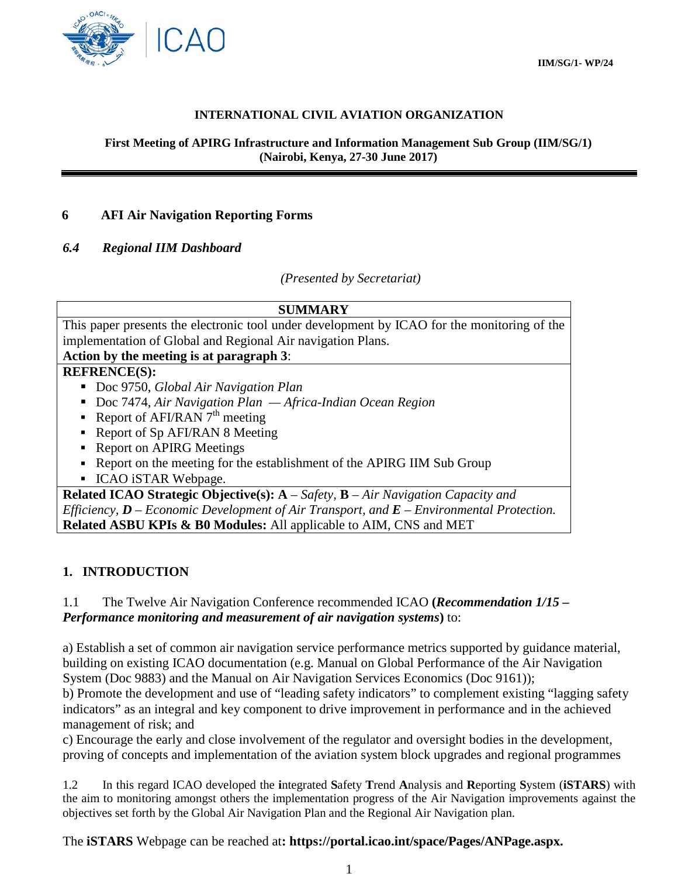

### **INTERNATIONAL CIVIL AVIATION ORGANIZATION**

**First Meeting of APIRG Infrastructure and Information Management Sub Group (IIM/SG/1) (Nairobi, Kenya, 27-30 June 2017)**

# **6 AFI Air Navigation Reporting Forms**

#### *6.4 Regional IIM Dashboard*

*(Presented by Secretariat)*

# **SUMMARY**

This paper presents the electronic tool under development by ICAO for the monitoring of the implementation of Global and Regional Air navigation Plans.

# **Action by the meeting is at paragraph 3**:

#### **REFRENCE(S):**

- Doc 9750, *Global Air Navigation Plan*
- Doc 7474, *Air Navigation Plan Africa-Indian Ocean Region*
- Report of AFI/RAN  $7<sup>th</sup>$  meeting
- Report of Sp AFI/RAN 8 Meeting
- Report on APIRG Meetings
- Report on the meeting for the establishment of the APIRG IIM Sub Group
- **ICAO iSTAR Webpage.**

**Related ICAO Strategic Objective(s): A** – *Safety,* **B** – *Air Navigation Capacity and Efficiency, D – Economic Development of Air Transport, and E – Environmental Protection.* **Related ASBU KPIs & B0 Modules:** All applicable to AIM, CNS and MET

# **1. INTRODUCTION**

# 1.1 The Twelve Air Navigation Conference recommended ICAO **(***Recommendation 1/15 – Performance monitoring and measurement of air navigation systems***)** to:

a) Establish a set of common air navigation service performance metrics supported by guidance material, building on existing ICAO documentation (e.g. Manual on Global Performance of the Air Navigation System (Doc 9883) and the Manual on Air Navigation Services Economics (Doc 9161));

b) Promote the development and use of "leading safety indicators" to complement existing "lagging safety indicators" as an integral and key component to drive improvement in performance and in the achieved management of risk; and

c) Encourage the early and close involvement of the regulator and oversight bodies in the development, proving of concepts and implementation of the aviation system block upgrades and regional programmes

1.2 In this regard ICAO developed the **i**ntegrated **S**afety **T**rend **A**nalysis and **R**eporting **S**ystem (**iSTARS**) with the aim to monitoring amongst others the implementation progress of the Air Navigation improvements against the objectives set forth by the Global Air Navigation Plan and the Regional Air Navigation plan.

The **iSTARS** Webpage can be reached at**: https://portal.icao.int/space/Pages/ANPage.aspx.**